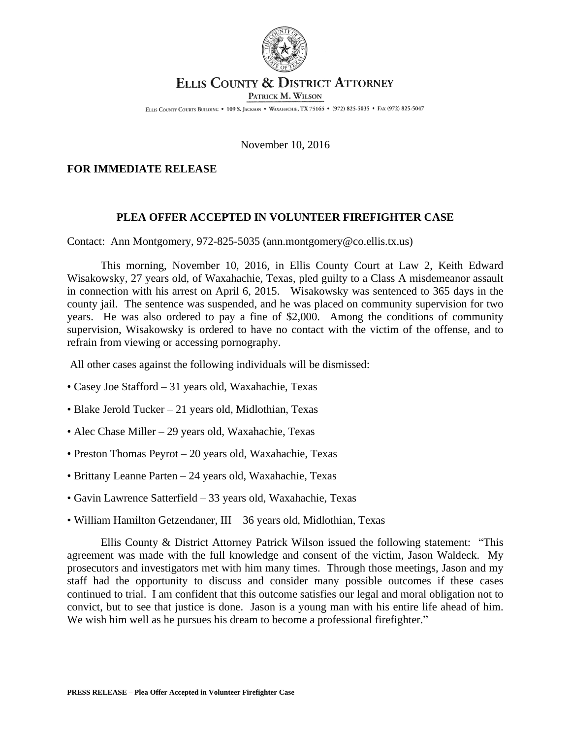

## ELLIS COUNTY & DISTRICT ATTORNEY

PATRICK M. WILSON

ELLIS COUNTY COURTS BUILDING . 109 S. JACKSON . WAXAHACHIE, TX 75165 . (972) 825-5035 . FAX (972) 825-5047

## November 10, 2016

## **FOR IMMEDIATE RELEASE**

## **PLEA OFFER ACCEPTED IN VOLUNTEER FIREFIGHTER CASE**

Contact: Ann Montgomery, 972-825-5035 (ann.montgomery@co.ellis.tx.us)

This morning, November 10, 2016, in Ellis County Court at Law 2, Keith Edward Wisakowsky, 27 years old, of Waxahachie, Texas, pled guilty to a Class A misdemeanor assault in connection with his arrest on April 6, 2015. Wisakowsky was sentenced to 365 days in the county jail. The sentence was suspended, and he was placed on community supervision for two years. He was also ordered to pay a fine of \$2,000. Among the conditions of community supervision, Wisakowsky is ordered to have no contact with the victim of the offense, and to refrain from viewing or accessing pornography.

All other cases against the following individuals will be dismissed:

- Casey Joe Stafford 31 years old, Waxahachie, Texas
- Blake Jerold Tucker 21 years old, Midlothian, Texas
- Alec Chase Miller 29 years old, Waxahachie, Texas
- Preston Thomas Peyrot 20 years old, Waxahachie, Texas
- Brittany Leanne Parten 24 years old, Waxahachie, Texas
- Gavin Lawrence Satterfield 33 years old, Waxahachie, Texas
- William Hamilton Getzendaner, III 36 years old, Midlothian, Texas

Ellis County & District Attorney Patrick Wilson issued the following statement: "This agreement was made with the full knowledge and consent of the victim, Jason Waldeck. My prosecutors and investigators met with him many times. Through those meetings, Jason and my staff had the opportunity to discuss and consider many possible outcomes if these cases continued to trial. I am confident that this outcome satisfies our legal and moral obligation not to convict, but to see that justice is done. Jason is a young man with his entire life ahead of him. We wish him well as he pursues his dream to become a professional firefighter."